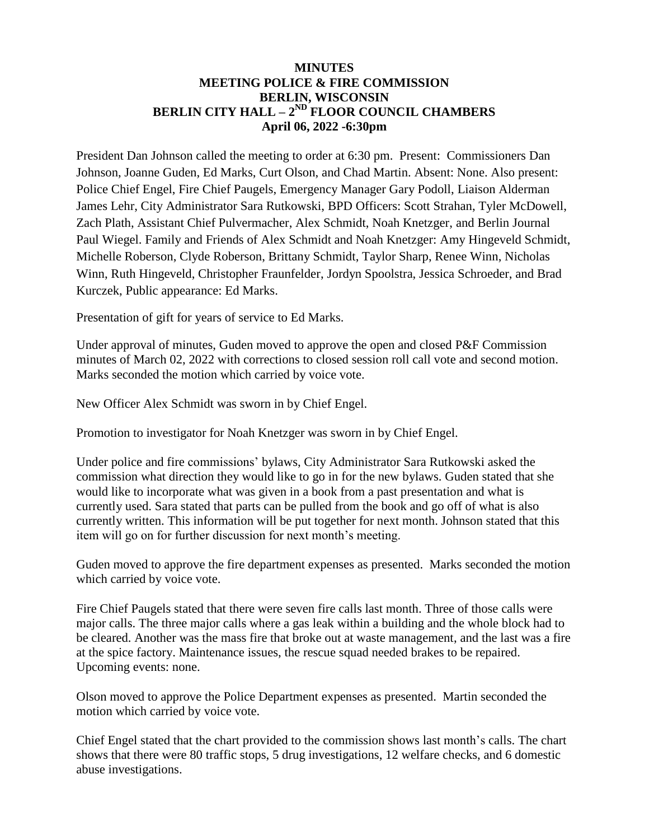## **MINUTES MEETING POLICE & FIRE COMMISSION BERLIN, WISCONSIN BERLIN CITY HALL – 2 ND FLOOR COUNCIL CHAMBERS April 06, 2022 -6:30pm**

President Dan Johnson called the meeting to order at 6:30 pm. Present: Commissioners Dan Johnson, Joanne Guden, Ed Marks, Curt Olson, and Chad Martin. Absent: None. Also present: Police Chief Engel, Fire Chief Paugels, Emergency Manager Gary Podoll, Liaison Alderman James Lehr, City Administrator Sara Rutkowski, BPD Officers: Scott Strahan, Tyler McDowell, Zach Plath, Assistant Chief Pulvermacher, Alex Schmidt, Noah Knetzger, and Berlin Journal Paul Wiegel. Family and Friends of Alex Schmidt and Noah Knetzger: Amy Hingeveld Schmidt, Michelle Roberson, Clyde Roberson, Brittany Schmidt, Taylor Sharp, Renee Winn, Nicholas Winn, Ruth Hingeveld, Christopher Fraunfelder, Jordyn Spoolstra, Jessica Schroeder, and Brad Kurczek, Public appearance: Ed Marks.

Presentation of gift for years of service to Ed Marks.

Under approval of minutes, Guden moved to approve the open and closed P&F Commission minutes of March 02, 2022 with corrections to closed session roll call vote and second motion. Marks seconded the motion which carried by voice vote.

New Officer Alex Schmidt was sworn in by Chief Engel.

Promotion to investigator for Noah Knetzger was sworn in by Chief Engel.

Under police and fire commissions' bylaws, City Administrator Sara Rutkowski asked the commission what direction they would like to go in for the new bylaws. Guden stated that she would like to incorporate what was given in a book from a past presentation and what is currently used. Sara stated that parts can be pulled from the book and go off of what is also currently written. This information will be put together for next month. Johnson stated that this item will go on for further discussion for next month's meeting.

Guden moved to approve the fire department expenses as presented. Marks seconded the motion which carried by voice vote.

Fire Chief Paugels stated that there were seven fire calls last month. Three of those calls were major calls. The three major calls where a gas leak within a building and the whole block had to be cleared. Another was the mass fire that broke out at waste management, and the last was a fire at the spice factory. Maintenance issues, the rescue squad needed brakes to be repaired. Upcoming events: none.

Olson moved to approve the Police Department expenses as presented. Martin seconded the motion which carried by voice vote.

Chief Engel stated that the chart provided to the commission shows last month's calls. The chart shows that there were 80 traffic stops, 5 drug investigations, 12 welfare checks, and 6 domestic abuse investigations.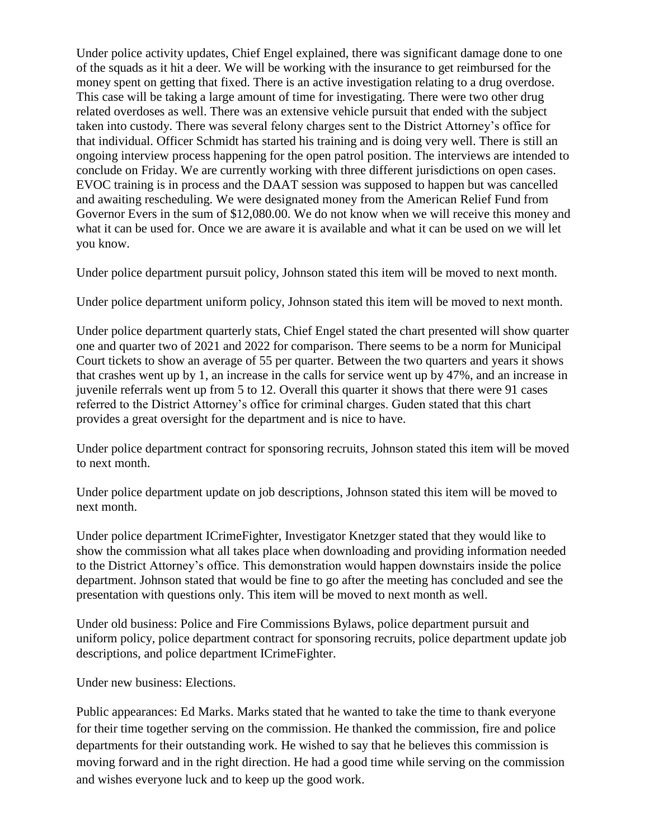Under police activity updates, Chief Engel explained, there was significant damage done to one of the squads as it hit a deer. We will be working with the insurance to get reimbursed for the money spent on getting that fixed. There is an active investigation relating to a drug overdose. This case will be taking a large amount of time for investigating. There were two other drug related overdoses as well. There was an extensive vehicle pursuit that ended with the subject taken into custody. There was several felony charges sent to the District Attorney's office for that individual. Officer Schmidt has started his training and is doing very well. There is still an ongoing interview process happening for the open patrol position. The interviews are intended to conclude on Friday. We are currently working with three different jurisdictions on open cases. EVOC training is in process and the DAAT session was supposed to happen but was cancelled and awaiting rescheduling. We were designated money from the American Relief Fund from Governor Evers in the sum of \$12,080.00. We do not know when we will receive this money and what it can be used for. Once we are aware it is available and what it can be used on we will let you know.

Under police department pursuit policy, Johnson stated this item will be moved to next month.

Under police department uniform policy, Johnson stated this item will be moved to next month.

Under police department quarterly stats, Chief Engel stated the chart presented will show quarter one and quarter two of 2021 and 2022 for comparison. There seems to be a norm for Municipal Court tickets to show an average of 55 per quarter. Between the two quarters and years it shows that crashes went up by 1, an increase in the calls for service went up by 47%, and an increase in juvenile referrals went up from 5 to 12. Overall this quarter it shows that there were 91 cases referred to the District Attorney's office for criminal charges. Guden stated that this chart provides a great oversight for the department and is nice to have.

Under police department contract for sponsoring recruits, Johnson stated this item will be moved to next month.

Under police department update on job descriptions, Johnson stated this item will be moved to next month.

Under police department ICrimeFighter, Investigator Knetzger stated that they would like to show the commission what all takes place when downloading and providing information needed to the District Attorney's office. This demonstration would happen downstairs inside the police department. Johnson stated that would be fine to go after the meeting has concluded and see the presentation with questions only. This item will be moved to next month as well.

Under old business: Police and Fire Commissions Bylaws, police department pursuit and uniform policy, police department contract for sponsoring recruits, police department update job descriptions, and police department ICrimeFighter.

Under new business: Elections.

Public appearances: Ed Marks. Marks stated that he wanted to take the time to thank everyone for their time together serving on the commission. He thanked the commission, fire and police departments for their outstanding work. He wished to say that he believes this commission is moving forward and in the right direction. He had a good time while serving on the commission and wishes everyone luck and to keep up the good work.